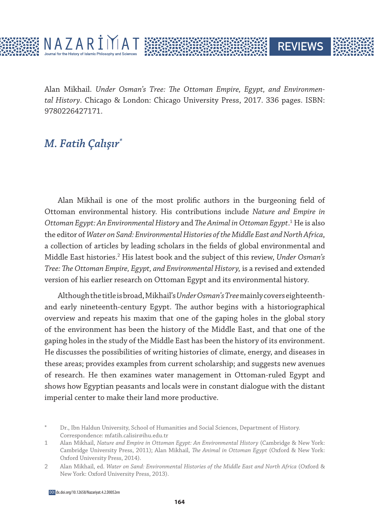

Alan Mikhail. *Under Osman's Tree: The Ottoman Empire, Egypt, and Environmental History*. Chicago & London: Chicago University Press, 2017. 336 pages. ISBN: 9780226427171.

**REVIEWS** 

## *M. Fatih Çalışır\**

Alan Mikhail is one of the most prolific authors in the burgeoning field of Ottoman environmental history. His contributions include *Nature and Empire in*  Ottoman Egypt: An Environmental History and The Animal in Ottoman Egypt.<sup>1</sup> He is also the editor of *Water on Sand: Environmental Histories of the Middle East and North Africa*, a collection of articles by leading scholars in the fields of global environmental and Middle East histories.<sup>2</sup> His latest book and the subject of this review, Under Osman's *Tree: The Ottoman Empire, Egypt, and Environmental History,* is a revised and extended version of his earlier research on Ottoman Egypt and its environmental history.

Although the title is broad, Mikhail's *Under Osman's Tree* mainly covers eighteenthand early nineteenth-century Egypt. The author begins with a historiographical overview and repeats his maxim that one of the gaping holes in the global story of the environment has been the history of the Middle East, and that one of the gaping holes in the study of the Middle East has been the history of its environment. He discusses the possibilities of writing histories of climate, energy, and diseases in these areas; provides examples from current scholarship; and suggests new avenues of research. He then examines water management in Ottoman-ruled Egypt and shows how Egyptian peasants and locals were in constant dialogue with the distant imperial center to make their land more productive.

Dr., Ibn Haldun University, School of Humanities and Social Sciences, Department of History. Correspondence: mfatih.calisir@ihu.edu.tr

<sup>1</sup> Alan Mikhail, *Nature and Empire in Ottoman Egypt: An Environmental History* (Cambridge & New York: Cambridge University Press, 2011); Alan Mikhail, *The Animal in Ottoman Egypt* (Oxford & New York: Oxford University Press, 2014).

<sup>2</sup> Alan Mikhail, ed. *Water on Sand: Environmental Histories of the Middle East and North Africa* (Oxford & New York: Oxford University Press, 2013).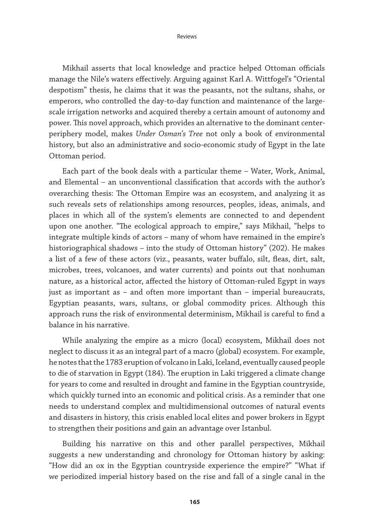Mikhail asserts that local knowledge and practice helped Ottoman officials manage the Nile's waters effectively. Arguing against Karl A. Wittfogel's "Oriental despotism" thesis, he claims that it was the peasants, not the sultans, shahs, or emperors, who controlled the day-to-day function and maintenance of the largescale irrigation networks and acquired thereby a certain amount of autonomy and power. This novel approach, which provides an alternative to the dominant centerperiphery model, makes *Under Osman's Tree* not only a book of environmental history, but also an administrative and socio-economic study of Egypt in the late Ottoman period.

Each part of the book deals with a particular theme – Water, Work, Animal, and Elemental – an unconventional classification that accords with the author's overarching thesis: The Ottoman Empire was an ecosystem, and analyzing it as such reveals sets of relationships among resources, peoples, ideas, animals, and places in which all of the system's elements are connected to and dependent upon one another. "The ecological approach to empire," says Mikhail, "helps to integrate multiple kinds of actors – many of whom have remained in the empire's historiographical shadows – into the study of Ottoman history" (202). He makes a list of a few of these actors (viz., peasants, water buffalo, silt, fleas, dirt, salt, microbes, trees, volcanoes, and water currents) and points out that nonhuman nature, as a historical actor, affected the history of Ottoman-ruled Egypt in ways just as important as – and often more important than – imperial bureaucrats, Egyptian peasants, wars, sultans, or global commodity prices. Although this approach runs the risk of environmental determinism, Mikhail is careful to find a balance in his narrative.

While analyzing the empire as a micro (local) ecosystem, Mikhail does not neglect to discuss it as an integral part of a macro (global) ecosystem. For example, he notes that the 1783 eruption of volcano in Laki, Iceland, eventually caused people to die of starvation in Egypt (184). The eruption in Laki triggered a climate change for years to come and resulted in drought and famine in the Egyptian countryside, which quickly turned into an economic and political crisis. As a reminder that one needs to understand complex and multidimensional outcomes of natural events and disasters in history, this crisis enabled local elites and power brokers in Egypt to strengthen their positions and gain an advantage over Istanbul.

Building his narrative on this and other parallel perspectives, Mikhail suggests a new understanding and chronology for Ottoman history by asking: "How did an ox in the Egyptian countryside experience the empire?" "What if we periodized imperial history based on the rise and fall of a single canal in the